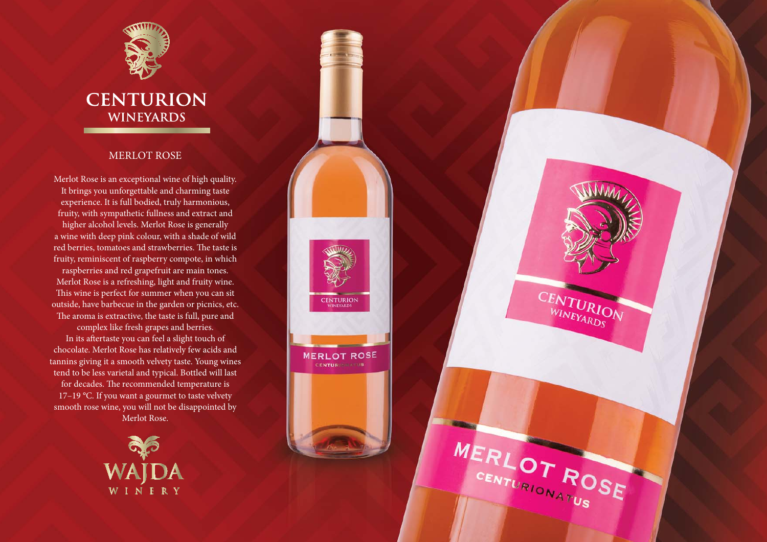

## **CENTURION WINEYARDS**

## MERLOT ROSE

Merlot Rose is an exceptional wine of high quality. It brings you unforgettable and charming taste experience. It is full bodied, truly harmonious, fruity, with sympathetic fullness and extract and higher alcohol levels. Merlot Rose is generally a wine with deep pink colour, with a shade of wild red berries, tomatoes and strawberries. The taste is fruity, reminiscent of raspberry compote, in which

raspberries and red grapefruit are main tones. Merlot Rose is a refreshing, light and fruity wine. This wine is perfect for summer when you can sit outside, have barbecue in the garden or picnics, etc. The aroma is extractive, the taste is full, pure and

**CENTURION** 

**MERLOT ROSE** CENTURIS INTUS

CENTURION

MERLOT ROSE

complex like fresh grapes and berries. In its aftertaste you can feel a slight touch of chocolate. Merlot Rose has relatively few acids and tannins giving it a smooth velvety taste. Young wines tend to be less varietal and typical. Bottled will last for decades. The recommended temperature is 17-19 °C. If you want a gourmet to taste velvety smooth rose wine, you will not be disappointed by Merlot Rose.